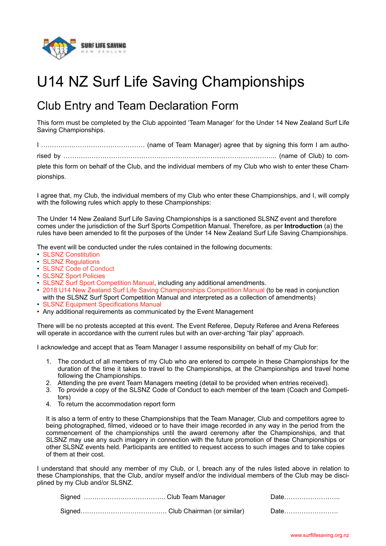

## U14 NZ Surf Life Saving Championships

## Club Entry and Team Declaration Form

This form must be completed by the Club appointed 'Team Manager' for the Under 14 New Zealand Surf Life Saving Championships.

I ………………………………………… (name of Team Manager) agree that by signing this form I am authorised by …………………………………………………………………………….……….. (name of Club) to com-

plete this form on behalf of the Club, and the individual members of my Club who wish to enter these Cham-

pionships.

I agree that, my Club, the individual members of my Club who enter these Championships, and I, will comply with the following rules which apply to these Championships:

The Under 14 New Zealand Surf Life Saving Championships is a sanctioned SLSNZ event and therefore comes under the jurisdiction of the Surf Sports Competition Manual. Therefore, as per **Introduction** (a) the rules have been amended to fit the purposes of the Under 14 New Zealand Surf Life Saving Championships.

The event will be conducted under the rules contained in the following documents:

- [SLSNZ Constitution](http://www.surflifesaving.org.nz/organisation/about-us/management-documents/)
- [SLSNZ Regulations](http://www.surflifesaving.org.nz/organisation/about-us/management-documents/)
- [SLSNZ Code of Conduct](http://www.surflifesaving.org.nz/organisation/about-us/management-documents/)
- [SLSNZ Sport Policies](http://www.surflifesaving.org.nz/sport/about-us/sport-policies/)
- [SLSNZ Surf Sport Competition Manual](http://www.surflifesaving.org.nz/sport/about-us/surf-sport-manual/), including any additional amendments.
- [2018 U14 New Zealand Surf Life Saving Championships Competition Manual](http://www.surflifesaving.org.nz/calendar/2018/march/u14-new-zealand-surf-life-saving-championships-(oceans18)/) (to be read in conjunction
- with the SLSNZ Surf Sport Competition Manual and interpreted as a collection of amendments)
- [SLSNZ Equipment Specifications Manual](http://www.surflifesaving.org.nz/clubhouse/gear-shed/sport-documents/)
- Any additional requirements as communicated by the Event Management

There will be no protests accepted at this event. The Event Referee, Deputy Referee and Arena Referees will operate in accordance with the current rules but with an over-arching "fair play" approach.

I acknowledge and accept that as Team Manager I assume responsibility on behalf of my Club for:

- 1. The conduct of all members of my Club who are entered to compete in these Championships for the duration of the time it takes to travel to the Championships, at the Championships and travel home following the Championships.
- 2. Attending the pre event Team Managers meeting (detail to be provided when entries received).
- 3. To provide a copy of the SLSNZ Code of Conduct to each member of the team (Coach and Competitors)
- 4. To return the accommodation report form

It is also a term of entry to these Championships that the Team Manager, Club and competitors agree to being photographed, filmed, videoed or to have their image recorded in any way in the period from the commencement of the championships until the award ceremony after the Championships, and that SLSNZ may use any such imagery in connection with the future promotion of these Championships or other SLSNZ events held. Participants are entitled to request access to such images and to take copies of them at their cost.

I understand that should any member of my Club, or I, breach any of the rules listed above in relation to these Championships, that the Club, and/or myself and/or the individual members of the Club may be disciplined by my Club and/or SLSNZ.

|  | Date |
|--|------|
|  | Date |